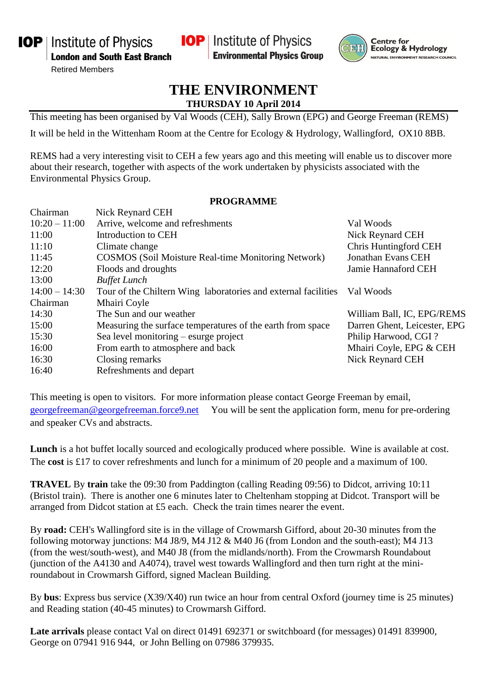**IOP** | Institute of Physics **London and South East Branch** 

Retired Members

**IOP** Institute of Physics **Environmental Physics Group** 



**Centre for** Ecology & Hydrology NATURAL ENVIRONMENT RESEARCH COUNCIL

## **THE ENVIRONMENT THURSDAY 10 April 2014**

This meeting has been organised by Val Woods (CEH), Sally Brown (EPG) and George Freeman (REMS)

It will be held in the Wittenham Room at the Centre for Ecology & Hydrology, Wallingford, OX10 8BB.

REMS had a very interesting visit to CEH a few years ago and this meeting will enable us to discover more about their research, together with aspects of the work undertaken by physicists associated with the Environmental Physics Group.

## **PROGRAMME**

| Nick Reynard CEH                                               |                              |
|----------------------------------------------------------------|------------------------------|
| Arrive, welcome and refreshments                               | Val Woods                    |
| Introduction to CEH                                            | Nick Reynard CEH             |
| Climate change                                                 | Chris Huntingford CEH        |
| <b>COSMOS</b> (Soil Moisture Real-time Monitoring Network)     | <b>Jonathan Evans CEH</b>    |
| Floods and droughts                                            | Jamie Hannaford CEH          |
| <b>Buffet Lunch</b>                                            |                              |
| Tour of the Chiltern Wing laboratories and external facilities | Val Woods                    |
| Mhairi Coyle                                                   |                              |
| The Sun and our weather                                        | William Ball, IC, EPG/REMS   |
| Measuring the surface temperatures of the earth from space     | Darren Ghent, Leicester, EPG |
| Sea level monitoring – esurge project                          | Philip Harwood, CGI?         |
| From earth to atmosphere and back                              | Mhairi Coyle, EPG & CEH      |
| Closing remarks                                                | Nick Reynard CEH             |
| Refreshments and depart                                        |                              |
|                                                                |                              |

This meeting is open to visitors. For more information please contact George Freeman by email, [georgefreeman@georgefreeman.force9.net](mailto:georgefreeman@georgefreeman.force9.net) You will be sent the application form, menu for pre-ordering and speaker CVs and abstracts.

**Lunch** is a hot buffet locally sourced and ecologically produced where possible. Wine is available at cost. The **cost** is £17 to cover refreshments and lunch for a minimum of 20 people and a maximum of 100.

**TRAVEL** By **train** take the 09:30 from Paddington (calling Reading 09:56) to Didcot, arriving 10:11 (Bristol train). There is another one 6 minutes later to Cheltenham stopping at Didcot. Transport will be arranged from Didcot station at £5 each. Check the train times nearer the event.

By **road:** CEH's Wallingford site is in the village of Crowmarsh Gifford, about 20-30 minutes from the following motorway junctions: M4 J8/9, M4 J12 & M40 J6 (from London and the south-east); M4 J13 (from the west/south-west), and M40 J8 (from the midlands/north). From the Crowmarsh Roundabout (junction of the A4130 and A4074), travel west towards Wallingford and then turn right at the miniroundabout in Crowmarsh Gifford, signed Maclean Building.

By **bus**: Express bus service (X39/X40) run twice an hour from central Oxford (journey time is 25 minutes) and Reading station (40-45 minutes) to Crowmarsh Gifford.

**Late arrivals** please contact Val on direct 01491 692371 or switchboard (for messages) 01491 839900, George on 07941 916 944, or John Belling on 07986 379935.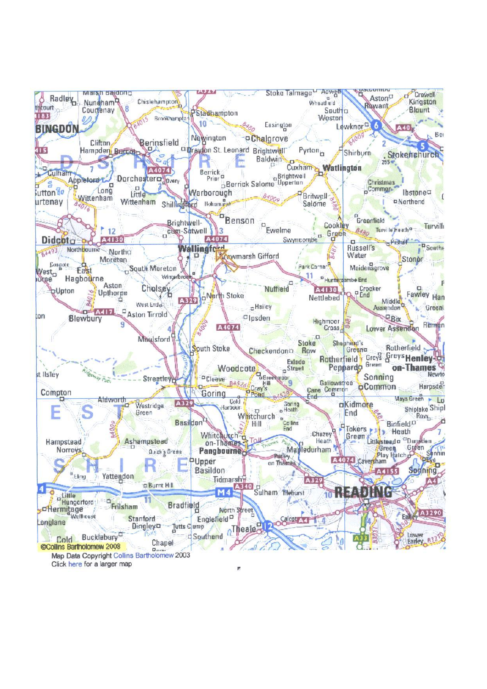

Click here for a larger map